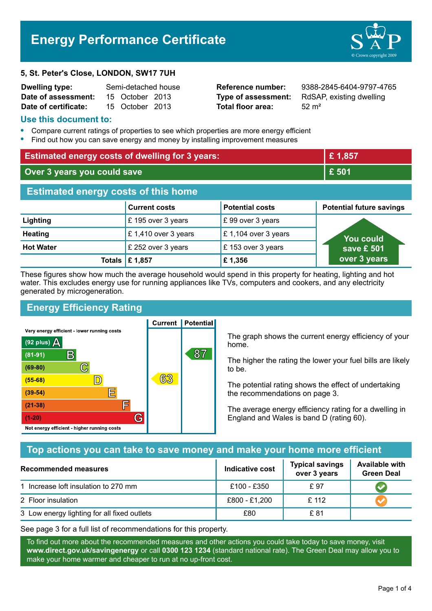# **Energy Performance Certificate**

#### **5, St. Peter's Close, LONDON, SW17 7UH**

| <b>Dwelling type:</b> | Semi-detached house |                 |  |
|-----------------------|---------------------|-----------------|--|
| Date of assessment:   |                     | 15 October 2013 |  |
| Date of certificate:  |                     | 15 October 2013 |  |

**Total floor area:** 52 m<sup>2</sup>

**Reference number:** 9388-2845-6404-9797-4765 **Type of assessment:** RdSAP, existing dwelling

#### **Use this document to:**

- **•** Compare current ratings of properties to see which properties are more energy efficient
- **•** Find out how you can save energy and money by installing improvement measures

| <b>Estimated energy costs of dwelling for 3 years:</b> |                           |                        | £1,857                          |  |
|--------------------------------------------------------|---------------------------|------------------------|---------------------------------|--|
| Over 3 years you could save                            |                           | £ 501                  |                                 |  |
| <b>Estimated energy costs of this home</b>             |                           |                        |                                 |  |
|                                                        | <b>Current costs</b>      | <b>Potential costs</b> | <b>Potential future savings</b> |  |
| Lighting                                               | £195 over 3 years         | £99 over 3 years       |                                 |  |
| <b>Heating</b>                                         | £1,410 over 3 years       | £1,104 over 3 years    | <b>You could</b>                |  |
| <b>Hot Water</b>                                       | £ 252 over 3 years        | £153 over 3 years      | save £ 501                      |  |
|                                                        | Totals $\mathsf{E}$ 1,857 | £1,356                 | over 3 years                    |  |

These figures show how much the average household would spend in this property for heating, lighting and hot water. This excludes energy use for running appliances like TVs, computers and cookers, and any electricity generated by microgeneration.

**Current | Potential** 

# **Energy Efficiency Rating**

Very energy efficient - lower running costs



The graph shows the current energy efficiency of your home.

The higher the rating the lower your fuel bills are likely to be.

The potential rating shows the effect of undertaking the recommendations on page 3.

The average energy efficiency rating for a dwelling in England and Wales is band D (rating 60).

## **Top actions you can take to save money and make your home more efficient**

| Recommended measures                        | Indicative cost | <b>Typical savings</b><br>over 3 years | <b>Available with</b><br><b>Green Deal</b> |
|---------------------------------------------|-----------------|----------------------------------------|--------------------------------------------|
| 1 Increase loft insulation to 270 mm        | £100 - £350     | £ 97                                   |                                            |
| 2 Floor insulation                          | £800 - £1,200   | £ 112                                  |                                            |
| 3 Low energy lighting for all fixed outlets | £80             | £ 81                                   |                                            |

See page 3 for a full list of recommendations for this property.

To find out more about the recommended measures and other actions you could take today to save money, visit **www.direct.gov.uk/savingenergy** or call **0300 123 1234** (standard national rate). The Green Deal may allow you to make your home warmer and cheaper to run at no up-front cost.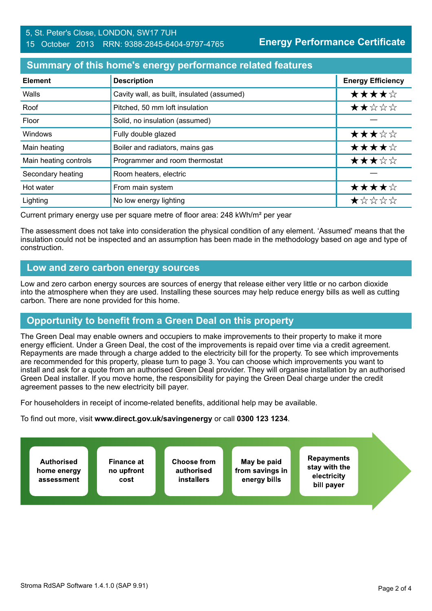#### 5, St. Peter's Close, LONDON, SW17 7UH 15 October 2013 RRN: 9388-2845-6404-9797-4765

**Energy Performance Certificate**

#### **Summary of this home's energy performance related features**

| <b>Element</b>        | <b>Description</b>                         | <b>Energy Efficiency</b> |
|-----------------------|--------------------------------------------|--------------------------|
| Walls                 | Cavity wall, as built, insulated (assumed) | ★★★★☆                    |
| Roof                  | Pitched, 50 mm loft insulation             | ★★☆☆☆                    |
| Floor                 | Solid, no insulation (assumed)             |                          |
| Windows               | Fully double glazed                        | ★★★☆☆                    |
| Main heating          | Boiler and radiators, mains gas            | ★★★★☆                    |
| Main heating controls | Programmer and room thermostat             | ★★★☆☆                    |
| Secondary heating     | Room heaters, electric                     |                          |
| Hot water             | From main system                           | ★★★★☆                    |
| Lighting              | No low energy lighting                     | *****                    |

Current primary energy use per square metre of floor area: 248 kWh/m² per year

The assessment does not take into consideration the physical condition of any element. 'Assumed' means that the insulation could not be inspected and an assumption has been made in the methodology based on age and type of construction.

#### **Low and zero carbon energy sources**

Low and zero carbon energy sources are sources of energy that release either very little or no carbon dioxide into the atmosphere when they are used. Installing these sources may help reduce energy bills as well as cutting carbon. There are none provided for this home.

## **Opportunity to benefit from a Green Deal on this property**

The Green Deal may enable owners and occupiers to make improvements to their property to make it more energy efficient. Under a Green Deal, the cost of the improvements is repaid over time via a credit agreement. Repayments are made through a charge added to the electricity bill for the property. To see which improvements are recommended for this property, please turn to page 3. You can choose which improvements you want to install and ask for a quote from an authorised Green Deal provider. They will organise installation by an authorised Green Deal installer. If you move home, the responsibility for paying the Green Deal charge under the credit agreement passes to the new electricity bill payer.

For householders in receipt of income-related benefits, additional help may be available.

To find out more, visit **www.direct.gov.uk/savingenergy** or call **0300 123 1234**.

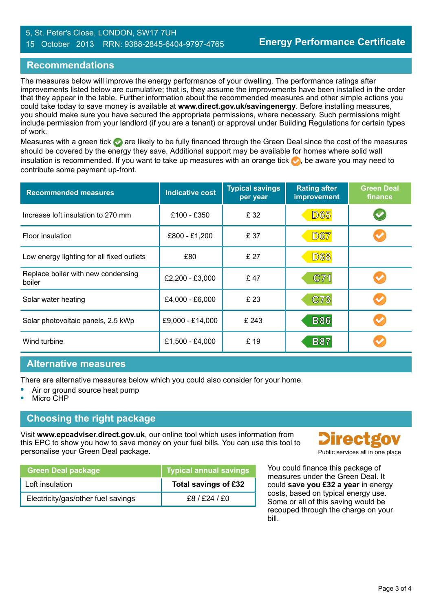#### 5, St. Peter's Close, LONDON, SW17 7UH 15 October 2013 RRN: 9388-2845-6404-9797-4765

#### **Recommendations**

The measures below will improve the energy performance of your dwelling. The performance ratings after improvements listed below are cumulative; that is, they assume the improvements have been installed in the order that they appear in the table. Further information about the recommended measures and other simple actions you could take today to save money is available at **www.direct.gov.uk/savingenergy**. Before installing measures, you should make sure you have secured the appropriate permissions, where necessary. Such permissions might include permission from your landlord (if you are a tenant) or approval under Building Regulations for certain types of work.

Measures with a green tick are likely to be fully financed through the Green Deal since the cost of the measures should be covered by the energy they save. Additional support may be available for homes where solid wall insulation is recommended. If you want to take up measures with an orange tick  $\bullet$ , be aware you may need to contribute some payment up-front.

| <b>Recommended measures</b>                  | <b>Indicative cost</b> | <b>Typical savings</b><br>per year | <b>Rating after</b><br>improvement | <b>Green Deal</b><br>finance |
|----------------------------------------------|------------------------|------------------------------------|------------------------------------|------------------------------|
| Increase loft insulation to 270 mm           | £100 - £350            | £ 32                               | <b>D65</b>                         |                              |
| Floor insulation                             | £800 - £1,200          | £ 37                               | <b>D67</b>                         |                              |
| Low energy lighting for all fixed outlets    | £80                    | £ 27                               | <b>D68</b>                         |                              |
| Replace boiler with new condensing<br>boiler | £2,200 - £3,000        | £47                                | C71                                |                              |
| Solar water heating                          | £4,000 - £6,000        | £ 23                               | C73                                |                              |
| Solar photovoltaic panels, 2.5 kWp           | £9,000 - £14,000       | £ 243                              | <b>B86</b>                         |                              |
| Wind turbine                                 | £1,500 - £4,000        | £ 19                               | <b>B87</b>                         |                              |

## **Alternative measures**

There are alternative measures below which you could also consider for your home.

- **•** Air or ground source heat pump
- **•** Micro CHP

## **Choosing the right package**

Visit **www.epcadviser.direct.gov.uk**, our online tool which uses information from this EPC to show you how to save money on your fuel bills. You can use this tool to personalise your Green Deal package.

| <b>Green Deal package</b>          | <b>Typical annual savings</b> |
|------------------------------------|-------------------------------|
| Loft insulation                    | Total savings of £32          |
| Electricity/gas/other fuel savings | £8/£24/£0                     |



You could finance this package of measures under the Green Deal. It could **save you £32 a year** in energy costs, based on typical energy use. Some or all of this saving would be recouped through the charge on your bill.